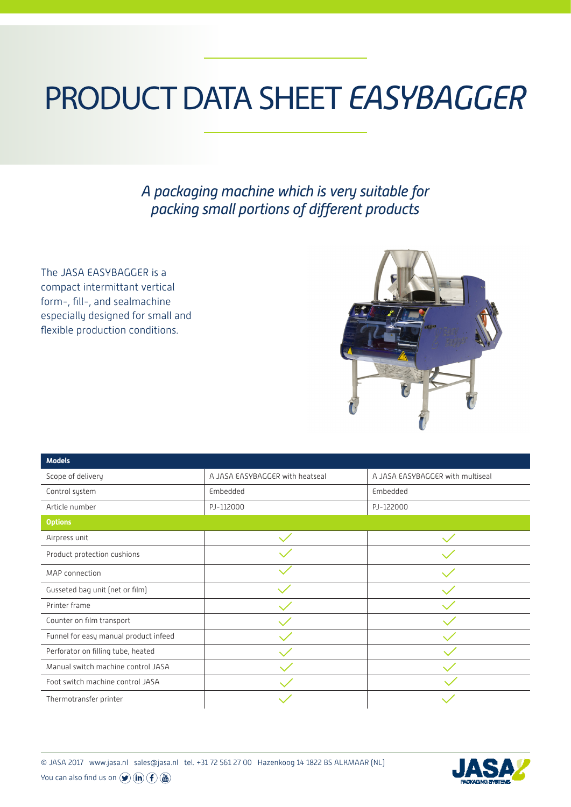## PRODUCT DATA SHEET *EASYBAGGER*

*A packaging machine which is very suitable for packing small portions of different products*

The JASA EASYBAGGER is a compact intermittant vertical form-, fill-, and sealmachine especially designed for small and flexible production conditions.



| <b>Models</b>                         |                                 |                                  |  |
|---------------------------------------|---------------------------------|----------------------------------|--|
| Scope of delivery                     | A JASA EASYBAGGER with heatseal | A JASA EASYBAGGER with multiseal |  |
| Control system                        | Embedded                        | Embedded                         |  |
| Article number                        | PJ-112000                       | PJ-122000                        |  |
| <b>Options</b>                        |                                 |                                  |  |
| Airpress unit                         |                                 |                                  |  |
| Product protection cushions           |                                 |                                  |  |
| MAP connection                        |                                 |                                  |  |
| Gusseted bag unit (net or film)       |                                 |                                  |  |
| Printer frame                         |                                 |                                  |  |
| Counter on film transport             |                                 |                                  |  |
| Funnel for easy manual product infeed |                                 |                                  |  |
| Perforator on filling tube, heated    |                                 |                                  |  |
| Manual switch machine control JASA    |                                 |                                  |  |
| Foot switch machine control JASA      |                                 |                                  |  |
| Thermotransfer printer                |                                 |                                  |  |